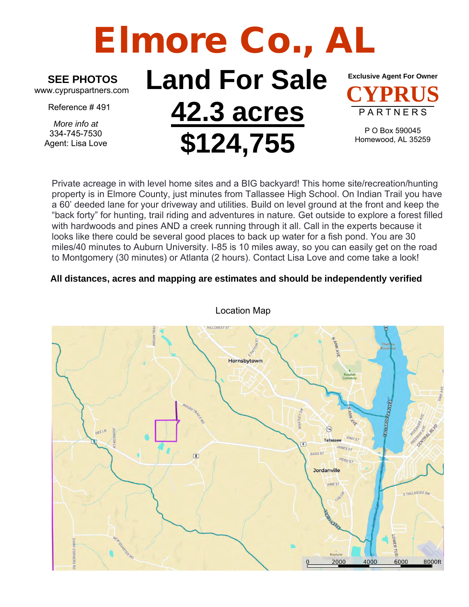# Elmore Co., Al

### **SEE PHOTOS**

www.cypruspartners.com

Reference # 491

*More info at* 334-745-7530 Agent: Lisa Love

## **Land For Sale 42.3 acres \$124,755**

**Exclusive Agent For Owner CYPRUS** P A R T N E R S

P O Box 590045 Homewood, AL 35259

Private acreage in with level home sites and a BIG backyard! This home site/recreation/hunting property is in Elmore County, just minutes from Tallassee High School. On Indian Trail you have a 60' deeded lane for your driveway and utilities. Build on level ground at the front and keep the "back forty" for hunting, trail riding and adventures in nature. Get outside to explore a forest filled with hardwoods and pines AND a creek running through it all. Call in the experts because it looks like there could be several good places to back up water for a fish pond. You are 30 miles/40 minutes to Auburn University. I-85 is 10 miles away, so you can easily get on the road to Montgomery (30 minutes) or Atlanta (2 hours). Contact Lisa Love and come take a look!

### **All distances, acres and mapping are estimates and should be independently verified**



Location Map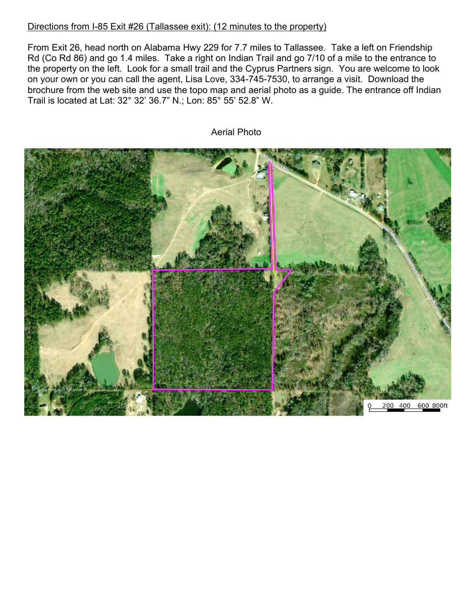#### Directions from I-85 Exit #26 (Tallassee exit): (12 minutes to the property)

From Exit 26, head north on Alabama Hwy 229 for 7.7 miles to Tallassee. Take a left on Friendship Rd (Co Rd 86) and go 1.4 miles. Take a right on Indian Trail and go 7/10 of a mile to the entrance to the property on the left. Look for a small trail and the Cyprus Partners sign. You are welcome to look on your own or you can call the agent, Lisa Love, 334-745-7530, to arrange a visit. Download the brochure from the web site and use the topo map and aerial photo as a guide. The entrance off Indian Trail is located at Lat: 32° 32' 36.7" N.; Lon: 85° 55' 52.8" W.



Aerial Photo